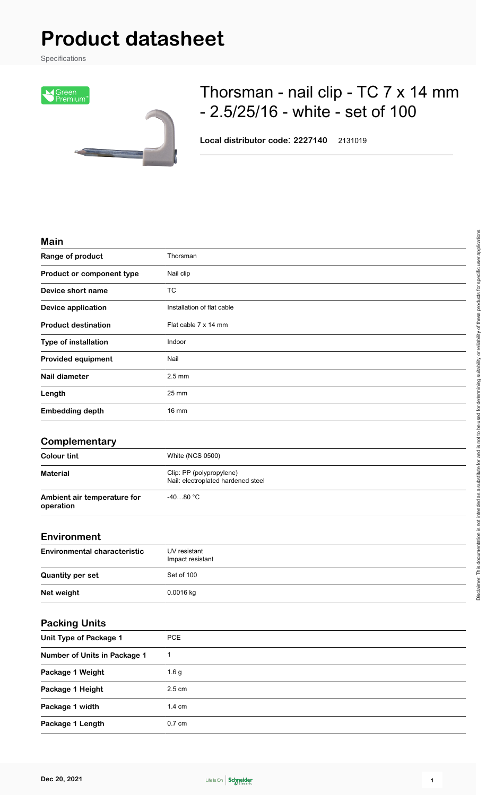# **Product datasheet**

Specifications



## Thorsman - nail clip - TC 7 x 14 mm - 2.5/25/16 - white - set of 100

**Local distributor code**: **2227140** 2131019

#### **Main**

| Range of product            | Thorsman                   |
|-----------------------------|----------------------------|
| Product or component type   | Nail clip                  |
| Device short name           | <b>TC</b>                  |
| <b>Device application</b>   | Installation of flat cable |
| <b>Product destination</b>  | Flat cable 7 x 14 mm       |
| <b>Type of installation</b> | Indoor                     |
| <b>Provided equipment</b>   | Nail                       |
| <b>Nail diameter</b>        | $2.5 \text{ mm}$           |
| Length                      | 25 mm                      |
| <b>Embedding depth</b>      | $16 \text{ mm}$            |

#### **Complementary**

| <b>Colour tint</b>                       | <b>White (NCS 0500)</b>                                        |
|------------------------------------------|----------------------------------------------------------------|
| <b>Material</b>                          | Clip: PP (polypropylene)<br>Nail: electroplated hardened steel |
| Ambient air temperature for<br>operation | $-4080 °C$                                                     |

#### **Environment**

| _                                   |                                  |
|-------------------------------------|----------------------------------|
| <b>Environmental characteristic</b> | UV resistant<br>Impact resistant |
| <b>Quantity per set</b>             | Set of 100                       |
| Net weight                          | $0.0016$ kg                      |

#### **Packing Units**

| Unit Type of Package 1       | <b>PCE</b>       |
|------------------------------|------------------|
| Number of Units in Package 1 |                  |
| Package 1 Weight             | 1.6 <sub>g</sub> |
| Package 1 Height             | $2.5 \text{ cm}$ |
| Package 1 width              | $1.4 \text{ cm}$ |
| Package 1 Length             | $0.7 \text{ cm}$ |